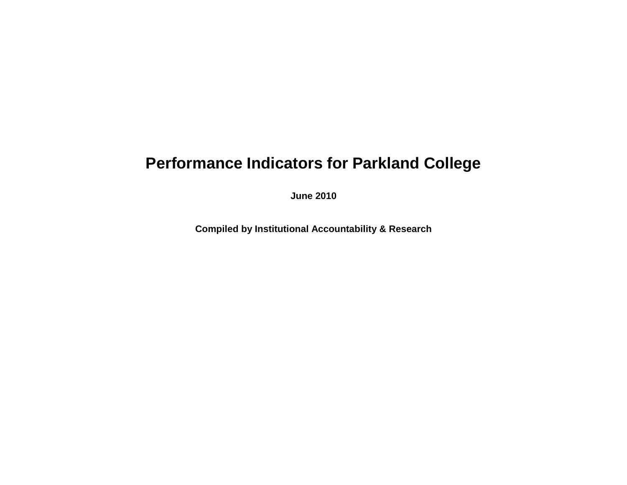## **Performance Indicators for Parkland College**

**June 2010**

**Compiled by Institutional Accountability & Research**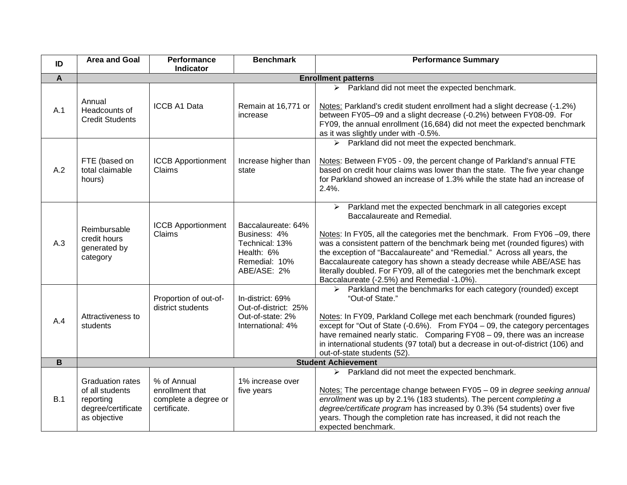| ID             | <b>Area and Goal</b>                                                                          | Performance<br><b>Indicator</b>                                        | <b>Benchmark</b>                                                                                   | <b>Performance Summary</b>                                                                                                                                                                                                                                                                                                                                                                                                                                                                                                                              |  |
|----------------|-----------------------------------------------------------------------------------------------|------------------------------------------------------------------------|----------------------------------------------------------------------------------------------------|---------------------------------------------------------------------------------------------------------------------------------------------------------------------------------------------------------------------------------------------------------------------------------------------------------------------------------------------------------------------------------------------------------------------------------------------------------------------------------------------------------------------------------------------------------|--|
| $\overline{A}$ | <b>Enrollment patterns</b>                                                                    |                                                                        |                                                                                                    |                                                                                                                                                                                                                                                                                                                                                                                                                                                                                                                                                         |  |
| A.1            | Annual<br>Headcounts of<br><b>Credit Students</b>                                             | <b>ICCB A1 Data</b>                                                    | Remain at 16,771 or<br>increase                                                                    | $\triangleright$ Parkland did not meet the expected benchmark.<br>Notes: Parkland's credit student enrollment had a slight decrease (-1.2%)<br>between FY05-09 and a slight decrease (-0.2%) between FY08-09. For<br>FY09, the annual enrollment (16,684) did not meet the expected benchmark<br>as it was slightly under with -0.5%.                                                                                                                                                                                                                   |  |
| A.2            | FTE (based on<br>total claimable<br>hours)                                                    | <b>ICCB Apportionment</b><br>Claims                                    | Increase higher than<br>state                                                                      | > Parkland did not meet the expected benchmark.<br>Notes: Between FY05 - 09, the percent change of Parkland's annual FTE<br>based on credit hour claims was lower than the state. The five year change<br>for Parkland showed an increase of 1.3% while the state had an increase of<br>$2.4%$ .                                                                                                                                                                                                                                                        |  |
| A.3            | Reimbursable<br>credit hours<br>generated by<br>category                                      | <b>ICCB Apportionment</b><br>Claims                                    | Baccalaureate: 64%<br>Business: 4%<br>Technical: 13%<br>Health: 6%<br>Remedial: 10%<br>ABE/ASE: 2% | $\triangleright$ Parkland met the expected benchmark in all categories except<br>Baccalaureate and Remedial.<br>Notes: In FY05, all the categories met the benchmark. From FY06 -09, there<br>was a consistent pattern of the benchmark being met (rounded figures) with<br>the exception of "Baccalaureate" and "Remedial." Across all years, the<br>Baccalaureate category has shown a steady decrease while ABE/ASE has<br>literally doubled. For FY09, all of the categories met the benchmark except<br>Baccalaureate (-2.5%) and Remedial -1.0%). |  |
| A.4            | Attractiveness to<br>students                                                                 | Proportion of out-of-<br>district students                             | In-district: 69%<br>Out-of-district: 25%<br>Out-of-state: 2%<br>International: 4%                  | $\triangleright$ Parkland met the benchmarks for each category (rounded) except<br>"Out-of State."<br>Notes: In FY09, Parkland College met each benchmark (rounded figures)<br>except for "Out of State $(-0.6\%)$ . From FY04 - 09, the category percentages<br>have remained nearly static. Comparing FY08 - 09, there was an increase<br>in international students (97 total) but a decrease in out-of-district (106) and<br>out-of-state students (52).                                                                                             |  |
| $\mathbf B$    | <b>Student Achievement</b>                                                                    |                                                                        |                                                                                                    |                                                                                                                                                                                                                                                                                                                                                                                                                                                                                                                                                         |  |
| B.1            | <b>Graduation rates</b><br>of all students<br>reporting<br>degree/certificate<br>as objective | % of Annual<br>enrollment that<br>complete a degree or<br>certificate. | 1% increase over<br>five years                                                                     | $\triangleright$ Parkland did not meet the expected benchmark.<br>Notes: The percentage change between FY05 - 09 in degree seeking annual<br>enrollment was up by 2.1% (183 students). The percent completing a<br>degree/certificate program has increased by 0.3% (54 students) over five<br>years. Though the completion rate has increased, it did not reach the<br>expected benchmark.                                                                                                                                                             |  |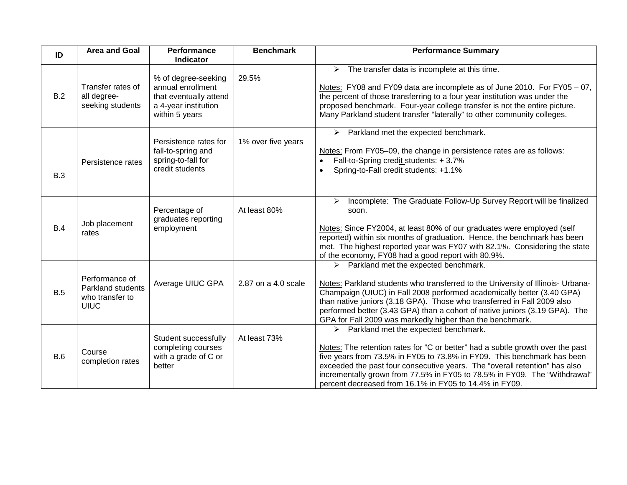| ID  | <b>Area and Goal</b>                                                  | Performance<br><b>Indicator</b>                                                                              | <b>Benchmark</b>    | <b>Performance Summary</b>                                                                                                                                                                                                                                                                                                                                                                                                                |
|-----|-----------------------------------------------------------------------|--------------------------------------------------------------------------------------------------------------|---------------------|-------------------------------------------------------------------------------------------------------------------------------------------------------------------------------------------------------------------------------------------------------------------------------------------------------------------------------------------------------------------------------------------------------------------------------------------|
| B.2 | Transfer rates of<br>all degree-<br>seeking students                  | % of degree-seeking<br>annual enrollment<br>that eventually attend<br>a 4-year institution<br>within 5 years | 29.5%               | $\triangleright$ The transfer data is incomplete at this time.<br>Notes: FY08 and FY09 data are incomplete as of June 2010. For FY05 - 07,<br>the percent of those transferring to a four year institution was under the<br>proposed benchmark. Four-year college transfer is not the entire picture.<br>Many Parkland student transfer "laterally" to other community colleges.                                                          |
| B.3 | Persistence rates                                                     | Persistence rates for<br>fall-to-spring and<br>spring-to-fall for<br>credit students                         | 1% over five years  | $\triangleright$ Parkland met the expected benchmark.<br>Notes: From FY05-09, the change in persistence rates are as follows:<br>Fall-to-Spring credit students: +3.7%<br>Spring-to-Fall credit students: +1.1%                                                                                                                                                                                                                           |
| B.4 | Job placement<br>rates                                                | Percentage of<br>graduates reporting<br>employment                                                           | At least 80%        | Incomplete: The Graduate Follow-Up Survey Report will be finalized<br>≻<br>soon.<br>Notes: Since FY2004, at least 80% of our graduates were employed (self<br>reported) within six months of graduation. Hence, the benchmark has been<br>met. The highest reported year was FY07 with 82.1%. Considering the state<br>of the economy, FY08 had a good report with 80.9%.                                                                 |
| B.5 | Performance of<br>Parkland students<br>who transfer to<br><b>UIUC</b> | Average UIUC GPA                                                                                             | 2.87 on a 4.0 scale | $\triangleright$ Parkland met the expected benchmark.<br>Notes: Parkland students who transferred to the University of Illinois- Urbana-<br>Champaign (UIUC) in Fall 2008 performed academically better (3.40 GPA)<br>than native juniors (3.18 GPA). Those who transferred in Fall 2009 also<br>performed better (3.43 GPA) than a cohort of native juniors (3.19 GPA). The<br>GPA for Fall 2009 was markedly higher than the benchmark. |
| B.6 | Course<br>completion rates                                            | Student successfully<br>completing courses<br>with a grade of C or<br>better                                 | At least 73%        | Parkland met the expected benchmark.<br>➤<br>Notes: The retention rates for "C or better" had a subtle growth over the past<br>five years from 73.5% in FY05 to 73.8% in FY09. This benchmark has been<br>exceeded the past four consecutive years. The "overall retention" has also<br>incrementally grown from 77.5% in FY05 to 78.5% in FY09. The "Withdrawal"<br>percent decreased from 16.1% in FY05 to 14.4% in FY09.               |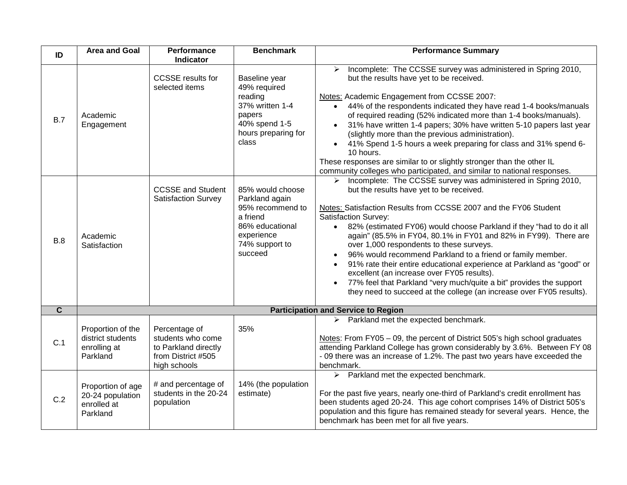| ID                      | <b>Area and Goal</b>                                               | Performance<br><b>Indicator</b>                                                                  | <b>Benchmark</b>                                                                                                                 | <b>Performance Summary</b>                                                                                                                                                                                                                                                                                                                                                                                                                                                                                                                                                                                                                                                                                                                                          |  |  |
|-------------------------|--------------------------------------------------------------------|--------------------------------------------------------------------------------------------------|----------------------------------------------------------------------------------------------------------------------------------|---------------------------------------------------------------------------------------------------------------------------------------------------------------------------------------------------------------------------------------------------------------------------------------------------------------------------------------------------------------------------------------------------------------------------------------------------------------------------------------------------------------------------------------------------------------------------------------------------------------------------------------------------------------------------------------------------------------------------------------------------------------------|--|--|
| B.7                     | Academic<br>Engagement                                             | <b>CCSSE</b> results for<br>selected items                                                       | Baseline year<br>49% required<br>reading<br>37% written 1-4<br>papers<br>40% spend 1-5<br>hours preparing for<br>class           | > Incomplete: The CCSSE survey was administered in Spring 2010,<br>but the results have yet to be received.<br>Notes: Academic Engagement from CCSSE 2007:<br>44% of the respondents indicated they have read 1-4 books/manuals<br>of required reading (52% indicated more than 1-4 books/manuals).<br>31% have written 1-4 papers; 30% have written 5-10 papers last year<br>(slightly more than the previous administration).<br>41% Spend 1-5 hours a week preparing for class and 31% spend 6-<br>10 hours.<br>These responses are similar to or slightly stronger than the other IL<br>community colleges who participated, and similar to national responses.                                                                                                 |  |  |
| B.8                     | Academic<br>Satisfaction                                           | <b>CCSSE and Student</b><br><b>Satisfaction Survey</b>                                           | 85% would choose<br>Parkland again<br>95% recommend to<br>a friend<br>86% educational<br>experience<br>74% support to<br>succeed | Incomplete: The CCSSE survey was administered in Spring 2010,<br>$\blacktriangleright$<br>but the results have yet to be received.<br>Notes: Satisfaction Results from CCSSE 2007 and the FY06 Student<br><b>Satisfaction Survey:</b><br>• 82% (estimated FY06) would choose Parkland if they "had to do it all<br>again" (85.5% in FY04, 80.1% in FY01 and 82% in FY99). There are<br>over 1,000 respondents to these surveys.<br>96% would recommend Parkland to a friend or family member.<br>91% rate their entire educational experience at Parkland as "good" or<br>excellent (an increase over FY05 results).<br>77% feel that Parkland "very much/quite a bit" provides the support<br>they need to succeed at the college (an increase over FY05 results). |  |  |
| $\overline{\mathbf{c}}$ | <b>Participation and Service to Region</b>                         |                                                                                                  |                                                                                                                                  |                                                                                                                                                                                                                                                                                                                                                                                                                                                                                                                                                                                                                                                                                                                                                                     |  |  |
| C.1                     | Proportion of the<br>district students<br>enrolling at<br>Parkland | Percentage of<br>students who come<br>to Parkland directly<br>from District #505<br>high schools | 35%                                                                                                                              | $\triangleright$ Parkland met the expected benchmark.<br>Notes: From FY05 - 09, the percent of District 505's high school graduates<br>attending Parkland College has grown considerably by 3.6%. Between FY 08<br>- 09 there was an increase of 1.2%. The past two years have exceeded the<br>benchmark.                                                                                                                                                                                                                                                                                                                                                                                                                                                           |  |  |
| C.2                     | Proportion of age<br>20-24 population<br>enrolled at<br>Parkland   | # and percentage of<br>students in the 20-24<br>population                                       | 14% (the population<br>estimate)                                                                                                 | $\triangleright$ Parkland met the expected benchmark.<br>For the past five years, nearly one-third of Parkland's credit enrollment has<br>been students aged 20-24. This age cohort comprises 14% of District 505's<br>population and this figure has remained steady for several years. Hence, the<br>benchmark has been met for all five years.                                                                                                                                                                                                                                                                                                                                                                                                                   |  |  |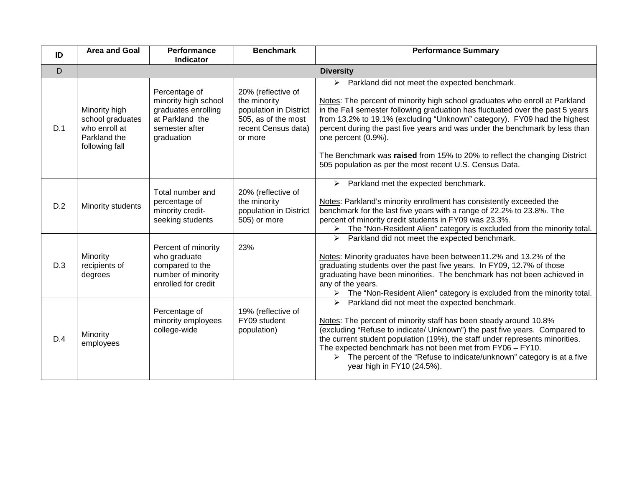| ID  | <b>Area and Goal</b>                                                                 | Performance<br><b>Indicator</b>                                                                                 | <b>Benchmark</b>                                                                                                      | <b>Performance Summary</b>                                                                                                                                                                                                                                                                                                                                                                                                                                                                                                                 |  |
|-----|--------------------------------------------------------------------------------------|-----------------------------------------------------------------------------------------------------------------|-----------------------------------------------------------------------------------------------------------------------|--------------------------------------------------------------------------------------------------------------------------------------------------------------------------------------------------------------------------------------------------------------------------------------------------------------------------------------------------------------------------------------------------------------------------------------------------------------------------------------------------------------------------------------------|--|
| D   | <b>Diversity</b>                                                                     |                                                                                                                 |                                                                                                                       |                                                                                                                                                                                                                                                                                                                                                                                                                                                                                                                                            |  |
| D.1 | Minority high<br>school graduates<br>who enroll at<br>Parkland the<br>following fall | Percentage of<br>minority high school<br>graduates enrolling<br>at Parkland the<br>semester after<br>graduation | 20% (reflective of<br>the minority<br>population in District<br>505, as of the most<br>recent Census data)<br>or more | > Parkland did not meet the expected benchmark.<br>Notes: The percent of minority high school graduates who enroll at Parkland<br>in the Fall semester following graduation has fluctuated over the past 5 years<br>from 13.2% to 19.1% (excluding "Unknown" category). FY09 had the highest<br>percent during the past five years and was under the benchmark by less than<br>one percent (0.9%).<br>The Benchmark was raised from 15% to 20% to reflect the changing District<br>505 population as per the most recent U.S. Census Data. |  |
| D.2 | Minority students                                                                    | Total number and<br>percentage of<br>minority credit-<br>seeking students                                       | 20% (reflective of<br>the minority<br>population in District<br>505) or more                                          | $\triangleright$ Parkland met the expected benchmark.<br>Notes: Parkland's minority enrollment has consistently exceeded the<br>benchmark for the last five years with a range of 22.2% to 23.8%. The<br>percent of minority credit students in FY09 was 23.3%.<br>> The "Non-Resident Alien" category is excluded from the minority total.                                                                                                                                                                                                |  |
| D.3 | Minority<br>recipients of<br>degrees                                                 | Percent of minority<br>who graduate<br>compared to the<br>number of minority<br>enrolled for credit             | 23%                                                                                                                   | $\triangleright$ Parkland did not meet the expected benchmark.<br>Notes: Minority graduates have been between11.2% and 13.2% of the<br>graduating students over the past five years. In FY09, 12.7% of those<br>graduating have been minorities. The benchmark has not been achieved in<br>any of the years.<br>> The "Non-Resident Alien" category is excluded from the minority total.                                                                                                                                                   |  |
| D.4 | Minority<br>employees                                                                | Percentage of<br>minority employees<br>college-wide                                                             | 19% (reflective of<br>FY09 student<br>population)                                                                     | $\triangleright$ Parkland did not meet the expected benchmark.<br>Notes: The percent of minority staff has been steady around 10.8%<br>(excluding "Refuse to indicate/ Unknown") the past five years. Compared to<br>the current student population (19%), the staff under represents minorities.<br>The expected benchmark has not been met from FY06 - FY10.<br>$\triangleright$ The percent of the "Refuse to indicate/unknown" category is at a five<br>year high in FY10 (24.5%).                                                     |  |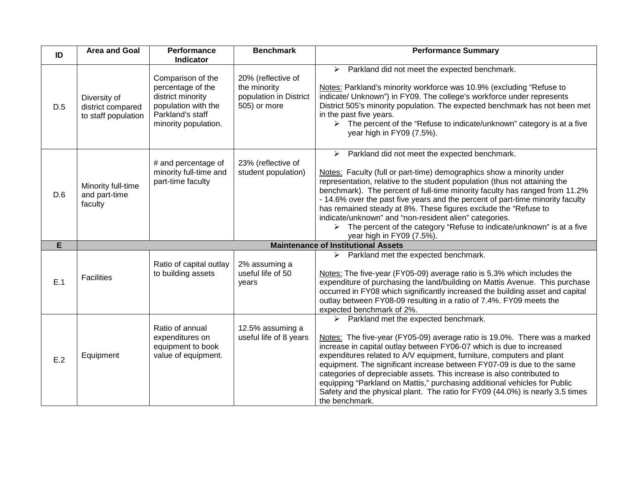| ID  | <b>Area and Goal</b>                                     | <b>Performance</b><br>Indicator                                                                                                | <b>Benchmark</b>                                                             | <b>Performance Summary</b>                                                                                                                                                                                                                                                                                                                                                                                                                                                                                                                                                                                                        |
|-----|----------------------------------------------------------|--------------------------------------------------------------------------------------------------------------------------------|------------------------------------------------------------------------------|-----------------------------------------------------------------------------------------------------------------------------------------------------------------------------------------------------------------------------------------------------------------------------------------------------------------------------------------------------------------------------------------------------------------------------------------------------------------------------------------------------------------------------------------------------------------------------------------------------------------------------------|
| D.5 | Diversity of<br>district compared<br>to staff population | Comparison of the<br>percentage of the<br>district minority<br>population with the<br>Parkland's staff<br>minority population. | 20% (reflective of<br>the minority<br>population in District<br>505) or more | $\triangleright$ Parkland did not meet the expected benchmark.<br>Notes: Parkland's minority workforce was 10.9% (excluding "Refuse to<br>indicate/ Unknown") in FY09. The college's workforce under represents<br>District 505's minority population. The expected benchmark has not been met<br>in the past five years.<br>$\triangleright$ The percent of the "Refuse to indicate/unknown" category is at a five<br>year high in FY09 (7.5%).                                                                                                                                                                                  |
| D.6 | Minority full-time<br>and part-time<br>faculty           | # and percentage of<br>minority full-time and<br>part-time faculty                                                             | 23% (reflective of<br>student population)                                    | Parkland did not meet the expected benchmark.<br>$\blacktriangleright$<br>Notes: Faculty (full or part-time) demographics show a minority under<br>representation, relative to the student population (thus not attaining the<br>benchmark). The percent of full-time minority faculty has ranged from 11.2%<br>- 14.6% over the past five years and the percent of part-time minority faculty<br>has remained steady at 8%. These figures exclude the "Refuse to<br>indicate/unknown" and "non-resident alien" categories.<br>The percent of the category "Refuse to indicate/unknown" is at a five<br>year high in FY09 (7.5%). |
| E   |                                                          |                                                                                                                                |                                                                              | <b>Maintenance of Institutional Assets</b>                                                                                                                                                                                                                                                                                                                                                                                                                                                                                                                                                                                        |
| E.1 | <b>Facilities</b>                                        | Ratio of capital outlay<br>to building assets                                                                                  | 2% assuming a<br>useful life of 50<br>years                                  | $\triangleright$ Parkland met the expected benchmark.<br>Notes: The five-year (FY05-09) average ratio is 5.3% which includes the<br>expenditure of purchasing the land/building on Mattis Avenue. This purchase<br>occurred in FY08 which significantly increased the building asset and capital<br>outlay between FY08-09 resulting in a ratio of 7.4%. FY09 meets the<br>expected benchmark of 2%.                                                                                                                                                                                                                              |
| E.2 | Equipment                                                | Ratio of annual<br>expenditures on<br>equipment to book<br>value of equipment.                                                 | 12.5% assuming a<br>useful life of 8 years                                   | $\triangleright$ Parkland met the expected benchmark.<br>Notes: The five-year (FY05-09) average ratio is 19.0%. There was a marked<br>increase in capital outlay between FY06-07 which is due to increased<br>expenditures related to A/V equipment, furniture, computers and plant<br>equipment. The significant increase between FY07-09 is due to the same<br>categories of depreciable assets. This increase is also contributed to<br>equipping "Parkland on Mattis," purchasing additional vehicles for Public<br>Safety and the physical plant. The ratio for FY09 (44.0%) is nearly 3.5 times<br>the benchmark.           |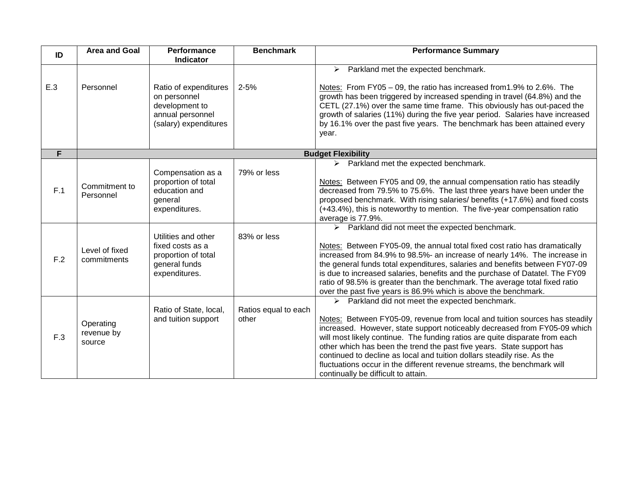| ID         | <b>Area and Goal</b>                                        | <b>Performance</b><br><b>Indicator</b>                                                                                                                                                    | <b>Benchmark</b>              | <b>Performance Summary</b>                                                                                                                                                                                                                                                                                                                                                                                                                                                                                                                                                                                                                                                                                                                                                              |
|------------|-------------------------------------------------------------|-------------------------------------------------------------------------------------------------------------------------------------------------------------------------------------------|-------------------------------|-----------------------------------------------------------------------------------------------------------------------------------------------------------------------------------------------------------------------------------------------------------------------------------------------------------------------------------------------------------------------------------------------------------------------------------------------------------------------------------------------------------------------------------------------------------------------------------------------------------------------------------------------------------------------------------------------------------------------------------------------------------------------------------------|
|            |                                                             |                                                                                                                                                                                           |                               | $\triangleright$ Parkland met the expected benchmark.                                                                                                                                                                                                                                                                                                                                                                                                                                                                                                                                                                                                                                                                                                                                   |
| E.3        | Personnel                                                   | Ratio of expenditures<br>on personnel<br>development to<br>annual personnel<br>(salary) expenditures                                                                                      | $2 - 5%$                      | Notes: From FY05 - 09, the ratio has increased from 1.9% to 2.6%. The<br>growth has been triggered by increased spending in travel (64.8%) and the<br>CETL (27.1%) over the same time frame. This obviously has out-paced the<br>growth of salaries (11%) during the five year period. Salaries have increased<br>by 16.1% over the past five years. The benchmark has been attained every<br>year.                                                                                                                                                                                                                                                                                                                                                                                     |
| F          |                                                             |                                                                                                                                                                                           |                               | <b>Budget Flexibility</b>                                                                                                                                                                                                                                                                                                                                                                                                                                                                                                                                                                                                                                                                                                                                                               |
| F.1<br>F.2 | Commitment to<br>Personnel<br>Level of fixed<br>commitments | Compensation as a<br>proportion of total<br>education and<br>general<br>expenditures.<br>Utilities and other<br>fixed costs as a<br>proportion of total<br>general funds<br>expenditures. | 79% or less<br>83% or less    | $\triangleright$ Parkland met the expected benchmark.<br>Notes: Between FY05 and 09, the annual compensation ratio has steadily<br>decreased from 79.5% to 75.6%. The last three years have been under the<br>proposed benchmark. With rising salaries/ benefits (+17.6%) and fixed costs<br>(+43.4%), this is noteworthy to mention. The five-year compensation ratio<br>average is 77.9%.<br>$\triangleright$ Parkland did not meet the expected benchmark.<br>Notes: Between FY05-09, the annual total fixed cost ratio has dramatically<br>increased from 84.9% to 98.5%- an increase of nearly 14%. The increase in<br>the general funds total expenditures, salaries and benefits between FY07-09<br>is due to increased salaries, benefits and the purchase of Datatel. The FY09 |
| F.3        | Operating<br>revenue by<br>source                           | Ratio of State, local,<br>and tuition support                                                                                                                                             | Ratios equal to each<br>other | ratio of 98.5% is greater than the benchmark. The average total fixed ratio<br>over the past five years is 86.9% which is above the benchmark.<br>$\triangleright$ Parkland did not meet the expected benchmark.<br>Notes: Between FY05-09, revenue from local and tuition sources has steadily<br>increased. However, state support noticeably decreased from FY05-09 which<br>will most likely continue. The funding ratios are quite disparate from each<br>other which has been the trend the past five years. State support has<br>continued to decline as local and tuition dollars steadily rise. As the<br>fluctuations occur in the different revenue streams, the benchmark will<br>continually be difficult to attain.                                                       |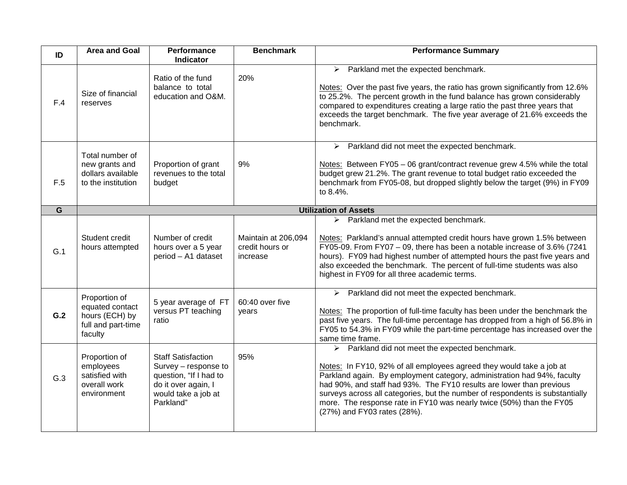| ID  | <b>Area and Goal</b>                                                                | Performance<br><b>Indicator</b>                                                                                                        | <b>Benchmark</b>                                   | <b>Performance Summary</b>                                                                                                                                                                                                                                                                                                                                                                                                                                                        |
|-----|-------------------------------------------------------------------------------------|----------------------------------------------------------------------------------------------------------------------------------------|----------------------------------------------------|-----------------------------------------------------------------------------------------------------------------------------------------------------------------------------------------------------------------------------------------------------------------------------------------------------------------------------------------------------------------------------------------------------------------------------------------------------------------------------------|
| F.4 | Size of financial<br>reserves                                                       | Ratio of the fund<br>balance to total<br>education and O&M.                                                                            | 20%                                                | $\triangleright$ Parkland met the expected benchmark.<br>Notes: Over the past five years, the ratio has grown significantly from 12.6%<br>to 25.2%. The percent growth in the fund balance has grown considerably<br>compared to expenditures creating a large ratio the past three years that<br>exceeds the target benchmark. The five year average of 21.6% exceeds the<br>benchmark.                                                                                          |
| F.5 | Total number of<br>new grants and<br>dollars available<br>to the institution        | Proportion of grant<br>revenues to the total<br>budget                                                                                 | 9%                                                 | $\triangleright$ Parkland did not meet the expected benchmark.<br>Notes: Between FY05 - 06 grant/contract revenue grew 4.5% while the total<br>budget grew 21.2%. The grant revenue to total budget ratio exceeded the<br>benchmark from FY05-08, but dropped slightly below the target (9%) in FY09<br>to 8.4%.                                                                                                                                                                  |
| G   |                                                                                     |                                                                                                                                        |                                                    | <b>Utilization of Assets</b>                                                                                                                                                                                                                                                                                                                                                                                                                                                      |
| G.1 | Student credit<br>hours attempted                                                   | Number of credit<br>hours over a 5 year<br>period - A1 dataset                                                                         | Maintain at 206,094<br>credit hours or<br>increase | Parkland met the expected benchmark.<br>➤<br>Notes: Parkland's annual attempted credit hours have grown 1.5% between<br>FY05-09. From FY07 - 09, there has been a notable increase of 3.6% (7241<br>hours). FY09 had highest number of attempted hours the past five years and<br>also exceeded the benchmark. The percent of full-time students was also<br>highest in FY09 for all three academic terms.                                                                        |
| G.2 | Proportion of<br>equated contact<br>hours (ECH) by<br>full and part-time<br>faculty | 5 year average of FT<br>versus PT teaching<br>ratio                                                                                    | 60:40 over five<br>years                           | $\triangleright$ Parkland did not meet the expected benchmark.<br>Notes: The proportion of full-time faculty has been under the benchmark the<br>past five years. The full-time percentage has dropped from a high of 56.8% in<br>FY05 to 54.3% in FY09 while the part-time percentage has increased over the<br>same time frame.                                                                                                                                                 |
| G.3 | Proportion of<br>employees<br>satisfied with<br>overall work<br>environment         | <b>Staff Satisfaction</b><br>Survey - response to<br>question, "If I had to<br>do it over again, I<br>would take a job at<br>Parkland" | 95%                                                | $\triangleright$ Parkland did not meet the expected benchmark.<br>Notes: In FY10, 92% of all employees agreed they would take a job at<br>Parkland again. By employment category, administration had 94%, faculty<br>had 90%, and staff had 93%. The FY10 results are lower than previous<br>surveys across all categories, but the number of respondents is substantially<br>more. The response rate in FY10 was nearly twice (50%) than the FY05<br>(27%) and FY03 rates (28%). |